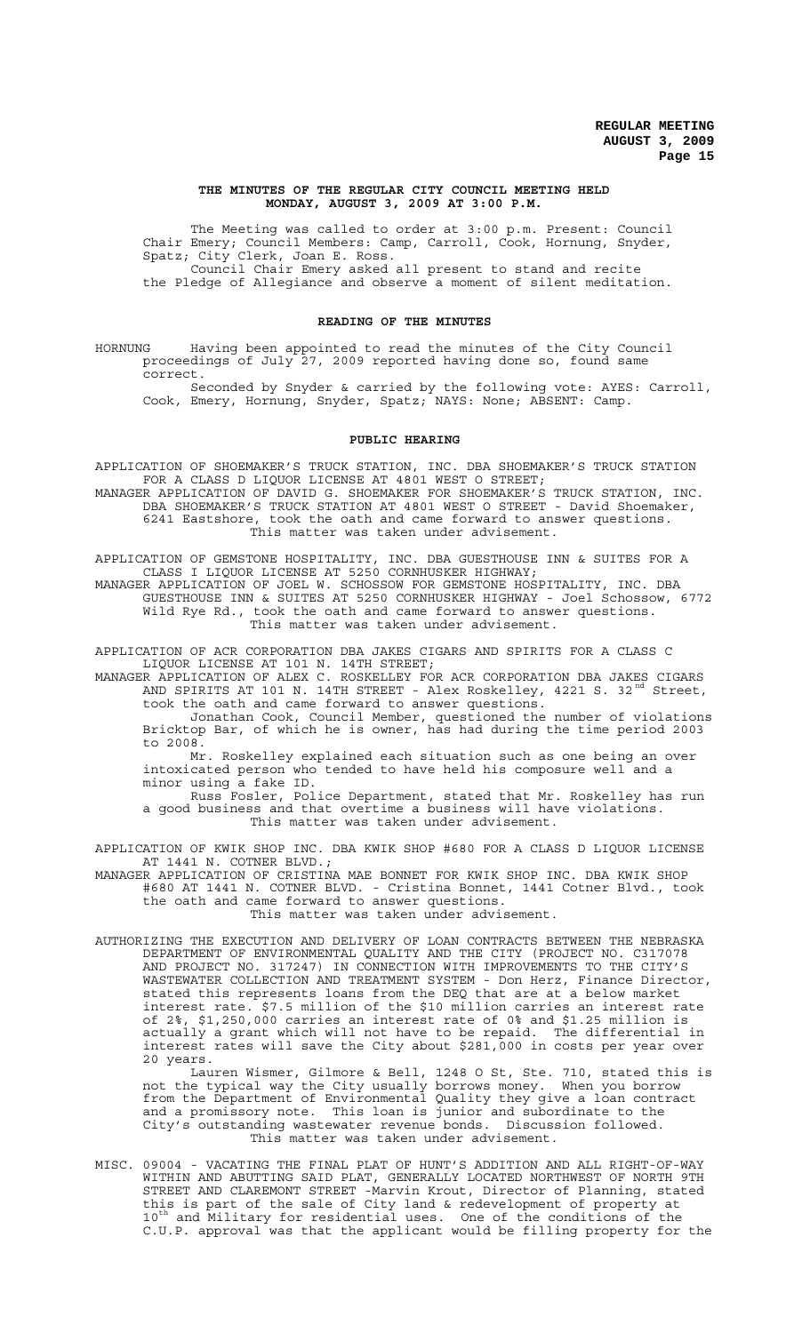### **THE MINUTES OF THE REGULAR CITY COUNCIL MEETING HELD MONDAY, AUGUST 3, 2009 AT 3:00 P.M.**

The Meeting was called to order at 3:00 p.m. Present: Council Chair Emery; Council Members: Camp, Carroll, Cook, Hornung, Snyder, Spatz; City Clerk, Joan E. Ross. Council Chair Emery asked all present to stand and recite

the Pledge of Allegiance and observe a moment of silent meditation.

## **READING OF THE MINUTES**

HORNUNG Having been appointed to read the minutes of the City Council proceedings of July 27, 2009 reported having done so, found same correct.

Seconded by Snyder & carried by the following vote: AYES: Carroll, Cook, Emery, Hornung, Snyder, Spatz; NAYS: None; ABSENT: Camp.

### **PUBLIC HEARING**

APPLICATION OF SHOEMAKER'S TRUCK STATION, INC. DBA SHOEMAKER'S TRUCK STATION FOR A CLASS D LIQUOR LICENSE AT 4801 WEST O STREET; MANAGER APPLICATION OF DAVID G. SHOEMAKER FOR SHOEMAKER'S TRUCK STATION, INC. DBA SHOEMAKER'S TRUCK STATION AT 4801 WEST O STREET - David Shoemaker, 6241 Eastshore, took the oath and came forward to answer questions. This matter was taken under advisement.

APPLICATION OF GEMSTONE HOSPITALITY, INC. DBA GUESTHOUSE INN & SUITES FOR A CLASS I LIQUOR LICENSE AT 5250 CORNHUSKER HIGHWAY;

MANAGER APPLICATION OF JOEL W. SCHOSSOW FOR GEMSTONE HOSPITALITY, INC. DBA GUESTHOUSE INN & SUITES AT 5250 CORNHUSKER HIGHWAY - Joel Schossow, 6772 Wild Rye Rd., took the oath and came forward to answer questions. This matter was taken under advisement.

APPLICATION OF ACR CORPORATION DBA JAKES CIGARS AND SPIRITS FOR A CLASS C LIQUOR LICENSE AT 101 N. 14TH STREET;

MANAGER APPLICATION OF ALEX C. ROSKELLEY FOR ACR CORPORATION DBA JAKES CIGARS AND SPIRITS AT 101 N. 14TH STREET - Alex Roskelley, 4221 S. 32<sup>nd</sup> Street, took the oath and came forward to answer questions.

Jonathan Cook, Council Member, questioned the number of violations Bricktop Bar, of which he is owner, has had during the time period 2003 to 2008.

Mr. Roskelley explained each situation such as one being an over intoxicated person who tended to have held his composure well and a minor using a fake ID.

Russ Fosler, Police Department, stated that Mr. Roskelley has run a good business and that overtime a business will have violations. This matter was taken under advisement.

APPLICATION OF KWIK SHOP INC. DBA KWIK SHOP #680 FOR A CLASS D LIQUOR LICENSE AT 1441 N. COTNER BLVD.;

MANAGER APPLICATION OF CRISTINA MAE BONNET FOR KWIK SHOP INC. DBA KWIK SHOP #680 AT 1441 N. COTNER BLVD. - Cristina Bonnet, 1441 Cotner Blvd., took the oath and came forward to answer questions. This matter was taken under advisement.

AUTHORIZING THE EXECUTION AND DELIVERY OF LOAN CONTRACTS BETWEEN THE NEBRASKA DEPARTMENT OF ENVIRONMENTAL QUALITY AND THE CITY (PROJECT NO. C317078 AND PROJECT NO. 317247) IN CONNECTION WITH IMPROVEMENTS TO THE CITY'S WASTEWATER COLLECTION AND TREATMENT SYSTEM - Don Herz, Finance Director, stated this represents loans from the DEQ that are at a below market interest rate. \$7.5 million of the \$10 million carries an interest rate of 2%, \$1,250,000 carries an interest rate of 0% and \$1.25 million is actually a grant which will not have to be repaid. The differential in interest rates will save the City about \$281,000 in costs per year over 20 years.

Lauren Wismer, Gilmore & Bell, 1248 O St, Ste. 710, stated this is not the typical way the City usually borrows money. When you borrow from the Department of Environmental Quality they give a loan contract and a promissory note. This loan is junior and subordinate to the City's outstanding wastewater revenue bonds. Discussion followed. This matter was taken under advisement.

MISC. 09004 - VACATING THE FINAL PLAT OF HUNT'S ADDITION AND ALL RIGHT-OF-WAY WITHIN AND ABUTTING SAID PLAT, GENERALLY LOCATED NORTHWEST OF NORTH 9TH STREET AND CLAREMONT STREET -Marvin Krout, Director of Planning, stated this is part of the sale of City land & redevelopment of property at 10<sup>th</sup> and Military for residential uses. One of the conditions of the C.U.P. approval was that the applicant would be filling property for the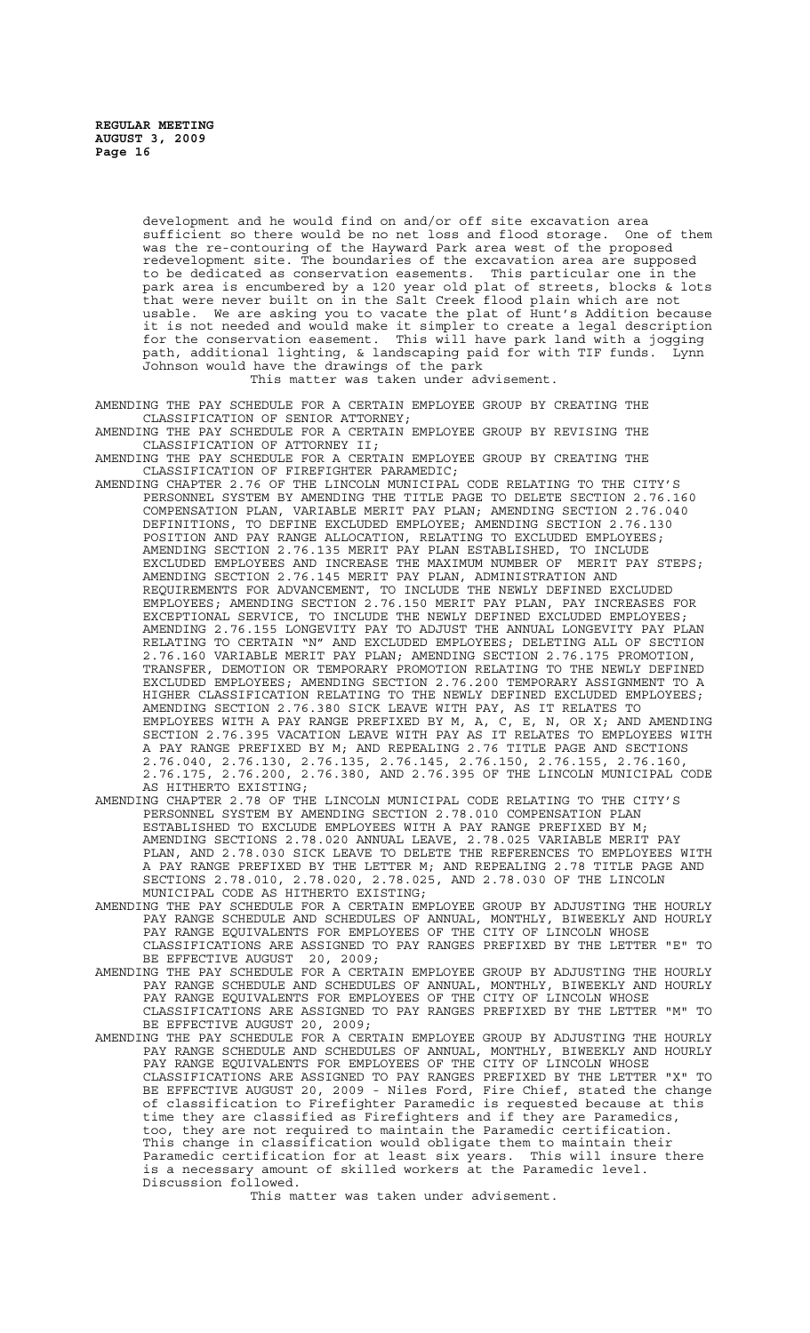development and he would find on and/or off site excavation area<br>sufficient so there would be no net loss and flood storage. One of them sufficient so there would be no net loss and flood storage. was the re-contouring of the Hayward Park area west of the proposed redevelopment site. The boundaries of the excavation area are supposed to be dedicated as conservation easements. This particular one in the park area is encumbered by a 120 year old plat of streets, blocks & lots that were never built on in the Salt Creek flood plain which are not usable. We are asking you to vacate the plat of Hunt's Addition because it is not needed and would make it simpler to create a legal description for the conservation easement. This will have park land with a jogging path, additional lighting, & landscaping paid for with TIF funds. Lynn Johnson would have the drawings of the park

This matter was taken under advisement.

AMENDING THE PAY SCHEDULE FOR A CERTAIN EMPLOYEE GROUP BY CREATING THE CLASSIFICATION OF SENIOR ATTORNEY;

AMENDING THE PAY SCHEDULE FOR A CERTAIN EMPLOYEE GROUP BY REVISING THE CLASSIFICATION OF ATTORNEY II;

AMENDING THE PAY SCHEDULE FOR A CERTAIN EMPLOYEE GROUP BY CREATING THE CLASSIFICATION OF FIREFIGHTER PARAMEDIC;

AMENDING CHAPTER 2.76 OF THE LINCOLN MUNICIPAL CODE RELATING TO THE CITY'S PERSONNEL SYSTEM BY AMENDING THE TITLE PAGE TO DELETE SECTION 2.76.160 COMPENSATION PLAN, VARIABLE MERIT PAY PLAN; AMENDING SECTION 2.76.040 DEFINITIONS, TO DEFINE EXCLUDED EMPLOYEE; AMENDING SECTION 2.76.130 POSITION AND PAY RANGE ALLOCATION, RELATING TO EXCLUDED EMPLOYEES; AMENDING SECTION 2.76.135 MERIT PAY PLAN ESTABLISHED, TO INCLUDE EXCLUDED EMPLOYEES AND INCREASE THE MAXIMUM NUMBER OF MERIT PAY STEPS; AMENDING SECTION 2.76.145 MERIT PAY PLAN, ADMINISTRATION AND REQUIREMENTS FOR ADVANCEMENT, TO INCLUDE THE NEWLY DEFINED EXCLUDED EMPLOYEES; AMENDING SECTION 2.76.150 MERIT PAY PLAN, PAY INCREASES FOR EXCEPTIONAL SERVICE, TO INCLUDE THE NEWLY DEFINED EXCLUDED EMPLOYEES; AMENDING 2.76.155 LONGEVITY PAY TO ADJUST THE ANNUAL LONGEVITY PAY PLAN RELATING TO CERTAIN "N" AND EXCLUDED EMPLOYEES; DELETING ALL OF SECTION 2.76.160 VARIABLE MERIT PAY PLAN; AMENDING SECTION 2.76.175 PROMOTION, TRANSFER, DEMOTION OR TEMPORARY PROMOTION RELATING TO THE NEWLY DEFINED EXCLUDED EMPLOYEES; AMENDING SECTION 2.76.200 TEMPORARY ASSIGNMENT TO A HIGHER CLASSIFICATION RELATING TO THE NEWLY DEFINED EXCLUDED EMPLOYEES; AMENDING SECTION 2.76.380 SICK LEAVE WITH PAY, AS IT RELATES TO EMPLOYEES WITH A PAY RANGE PREFIXED BY M, A, C, E, N, OR X; AND AMENDING SECTION 2.76.395 VACATION LEAVE WITH PAY AS IT RELATES TO EMPLOYEES WITH A PAY RANGE PREFIXED BY M; AND REPEALING 2.76 TITLE PAGE AND SECTIONS 2.76.040, 2.76.130, 2.76.135, 2.76.145, 2.76.150, 2.76.155, 2.76.160, 2.76.175, 2.76.200, 2.76.380, AND 2.76.395 OF THE LINCOLN MUNICIPAL CODE 2.76.175, 2.76.200, 2<br>AS HITHERTO EXISTING;

AMENDING CHAPTER 2.78 OF THE LINCOLN MUNICIPAL CODE RELATING TO THE CITY'S PERSONNEL SYSTEM BY AMENDING SECTION 2.78.010 COMPENSATION PLAN ESTABLISHED TO EXCLUDE EMPLOYEES WITH A PAY RANGE PREFIXED BY M; AMENDING SECTIONS 2.78.020 ANNUAL LEAVE, 2.78.025 VARIABLE MERIT PAY PLAN, AND 2.78.030 SICK LEAVE TO DELETE THE REFERENCES TO EMPLOYEES WITH A PAY RANGE PREFIXED BY THE LETTER M; AND REPEALING 2.78 TITLE PAGE AND SECTIONS 2.78.010, 2.78.020, 2.78.025, AND 2.78.030 OF THE LINCOLN MUNICIPAL CODE AS HITHERTO EXISTING;

- AMENDING THE PAY SCHEDULE FOR A CERTAIN EMPLOYEE GROUP BY ADJUSTING THE HOURLY PAY RANGE SCHEDULE AND SCHEDULES OF ANNUAL, MONTHLY, BIWEEKLY AND HOURLY PAY RANGE EQUIVALENTS FOR EMPLOYEES OF THE CITY OF LINCOLN WHOSE CLASSIFICATIONS ARE ASSIGNED TO PAY RANGES PREFIXED BY THE LETTER "E" TO BE EFFECTIVE AUGUST 20, 2009;
- AMENDING THE PAY SCHEDULE FOR A CERTAIN EMPLOYEE GROUP BY ADJUSTING THE HOURLY PAY RANGE SCHEDULE AND SCHEDULES OF ANNUAL, MONTHLY, BIWEEKLY AND HOURLY PAY RANGE EQUIVALENTS FOR EMPLOYEES OF THE CITY OF LINCOLN WHOSE CLASSIFICATIONS ARE ASSIGNED TO PAY RANGES PREFIXED BY THE LETTER "M" TO BE EFFECTIVE AUGUST 20, 2009;

AMENDING THE PAY SCHEDULE FOR A CERTAIN EMPLOYEE GROUP BY ADJUSTING THE HOURLY PAY RANGE SCHEDULE AND SCHEDULES OF ANNUAL, MONTHLY, BIWEEKLY AND HOURLY PAY RANGE EQUIVALENTS FOR EMPLOYEES OF THE CITY OF LINCOLN WHOSE CLASSIFICATIONS ARE ASSIGNED TO PAY RANGES PREFIXED BY THE LETTER "X" TO BE EFFECTIVE AUGUST 20, 2009 - Niles Ford, Fire Chief, stated the change of classification to Firefighter Paramedic is requested because at this time they are classified as Firefighters and if they are Paramedics, too, they are not required to maintain the Paramedic certification. This change in classification would obligate them to maintain their Paramedic certification for at least six years. This will insure there is a necessary amount of skilled workers at the Paramedic level. Discussion followed.

This matter was taken under advisement.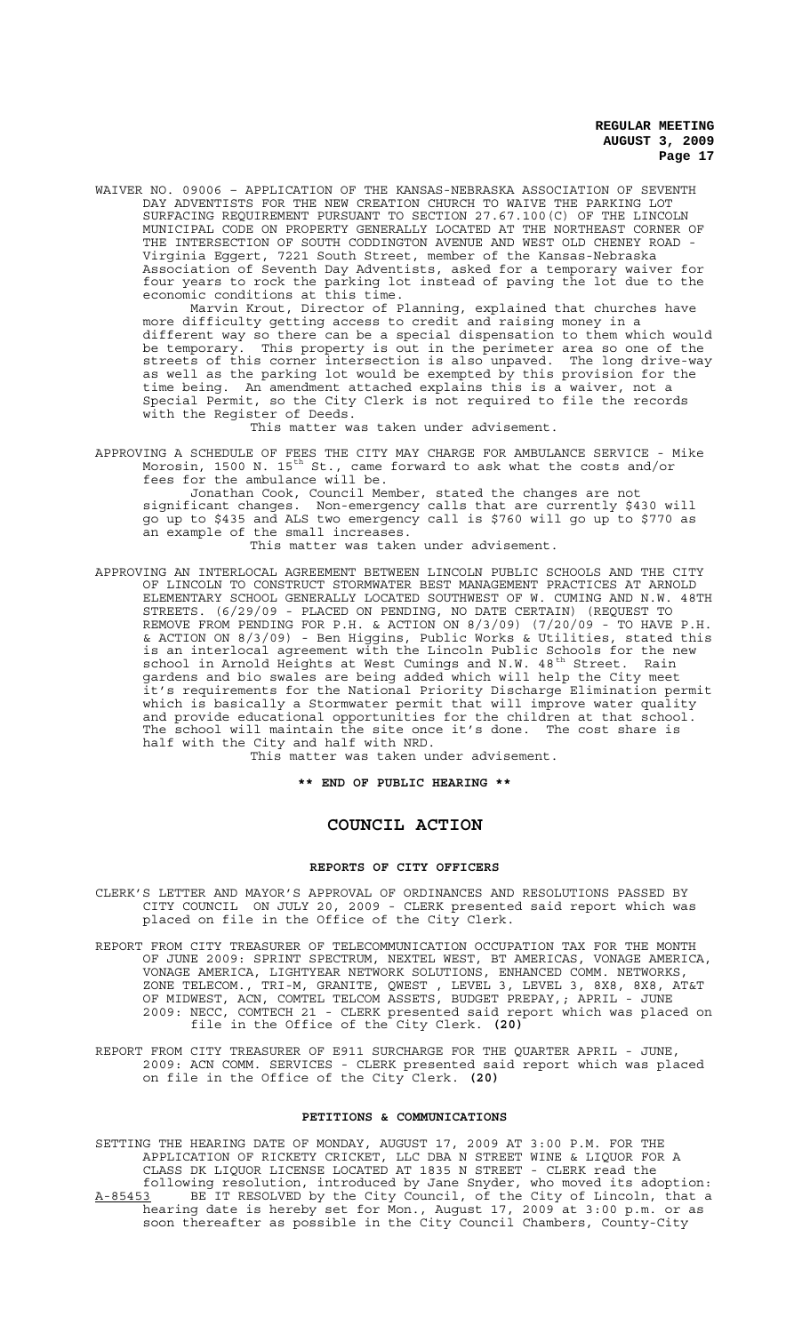WAIVER NO. 09006 – APPLICATION OF THE KANSAS-NEBRASKA ASSOCIATION OF SEVENTH DAY ADVENTISTS FOR THE NEW CREATION CHURCH TO WAIVE THE PARKING LOT SURFACING REQUIREMENT PURSUANT TO SECTION 27.67.100(C) OF THE LINCOLN MUNICIPAL CODE ON PROPERTY GENERALLY LOCATED AT THE NORTHEAST CORNER OF THE INTERSECTION OF SOUTH CODDINGTON AVENUE AND WEST OLD CHENEY ROAD - Virginia Eggert, 7221 South Street, member of the Kansas-Nebraska Association of Seventh Day Adventists, asked for a temporary waiver for four years to rock the parking lot instead of paving the lot due to the economic conditions at this time.

Marvin Krout, Director of Planning, explained that churches have more difficulty getting access to credit and raising money in a different way so there can be a special dispensation to them which would be temporary. This property is out in the perimeter area so one of the streets of this corner intersection is also unpaved. The long drive-way as well as the parking lot would be exempted by this provision for the time being. An amendment attached explains this is a waiver, not a Special Permit, so the City Clerk is not required to file the records with the Register of Deeds.

This matter was taken under advisement.

APPROVING A SCHEDULE OF FEES THE CITY MAY CHARGE FOR AMBULANCE SERVICE - Mike Morosin, 1500 N. 15<sup>th</sup> St., came forward to ask what the costs and/or fees for the ambulance will be.

Jonathan Cook, Council Member, stated the changes are not significant changes. Non-emergency calls that are currently \$430 will go up to \$435 and ALS two emergency call is \$760 will go up to \$770 as an example of the small increases.

This matter was taken under advisement.

APPROVING AN INTERLOCAL AGREEMENT BETWEEN LINCOLN PUBLIC SCHOOLS AND THE CITY OF LINCOLN TO CONSTRUCT STORMWATER BEST MANAGEMENT PRACTICES AT ARNOLD ELEMENTARY SCHOOL GENERALLY LOCATED SOUTHWEST OF W. CUMING AND N.W. 48TH STREETS. (6/29/09 - PLACED ON PENDING, NO DATE CERTAIN) (REQUEST TO REMOVE FROM PENDING FOR P.H. & ACTION ON 8/3/09) (7/20/09 - TO HAVE P.H. & ACTION ON 8/3/09) - Ben Higgins, Public Works & Utilities, stated this is an interlocal agreement with the Lincoln Public Schools for the new school in Arnold Heights at West Cumings and N.W. 48<sup>th</sup> Street. Rain gardens and bio swales are being added which will help the City meet it's requirements for the National Priority Discharge Elimination permit which is basically a Stormwater permit that will improve water quality and provide educational opportunities for the children at that school. The school will maintain the site once it's done. The cost share is half with the City and half with NRD.

This matter was taken under advisement.

**\*\* END OF PUBLIC HEARING \*\***

# **COUNCIL ACTION**

#### **REPORTS OF CITY OFFICERS**

- CLERK'S LETTER AND MAYOR'S APPROVAL OF ORDINANCES AND RESOLUTIONS PASSED BY CITY COUNCIL ON JULY 20, 2009 - CLERK presented said report which was placed on file in the Office of the City Clerk.
- REPORT FROM CITY TREASURER OF TELECOMMUNICATION OCCUPATION TAX FOR THE MONTH OF JUNE 2009: SPRINT SPECTRUM, NEXTEL WEST, BT AMERICAS, VONAGE AMERICA, VONAGE AMERICA, LIGHTYEAR NETWORK SOLUTIONS, ENHANCED COMM. NETWORKS, ZONE TELECOM., TRI-M, GRANITE, QWEST , LEVEL 3, LEVEL 3, 8X8, 8X8, AT&T OF MIDWEST, ACN, COMTEL TELCOM ASSETS, BUDGET PREPAY,; APRIL - JUNE 2009: NECC, COMTECH 21 - CLERK presented said report which was placed on file in the Office of the City Clerk. **(20)**
- REPORT FROM CITY TREASURER OF E911 SURCHARGE FOR THE QUARTER APRIL JUNE, 2009: ACN COMM. SERVICES - CLERK presented said report which was placed on file in the Office of the City Clerk. **(20)**

### **PETITIONS & COMMUNICATIONS**

SETTING THE HEARING DATE OF MONDAY, AUGUST 17, 2009 AT 3:00 P.M. FOR THE APPLICATION OF RICKETY CRICKET, LLC DBA N STREET WINE & LIQUOR FOR A CLASS DK LIQUOR LICENSE LOCATED AT 1835 N STREET - CLERK read the following resolution, introduced by Jane Snyder, who moved its adoption: A-85453 BE IT RESOLVED by the City Council, of the City of Lincoln, that a hearing date is hereby set for Mon., August 17, 2009 at 3:00 p.m. or as soon thereafter as possible in the City Council Chambers, County-City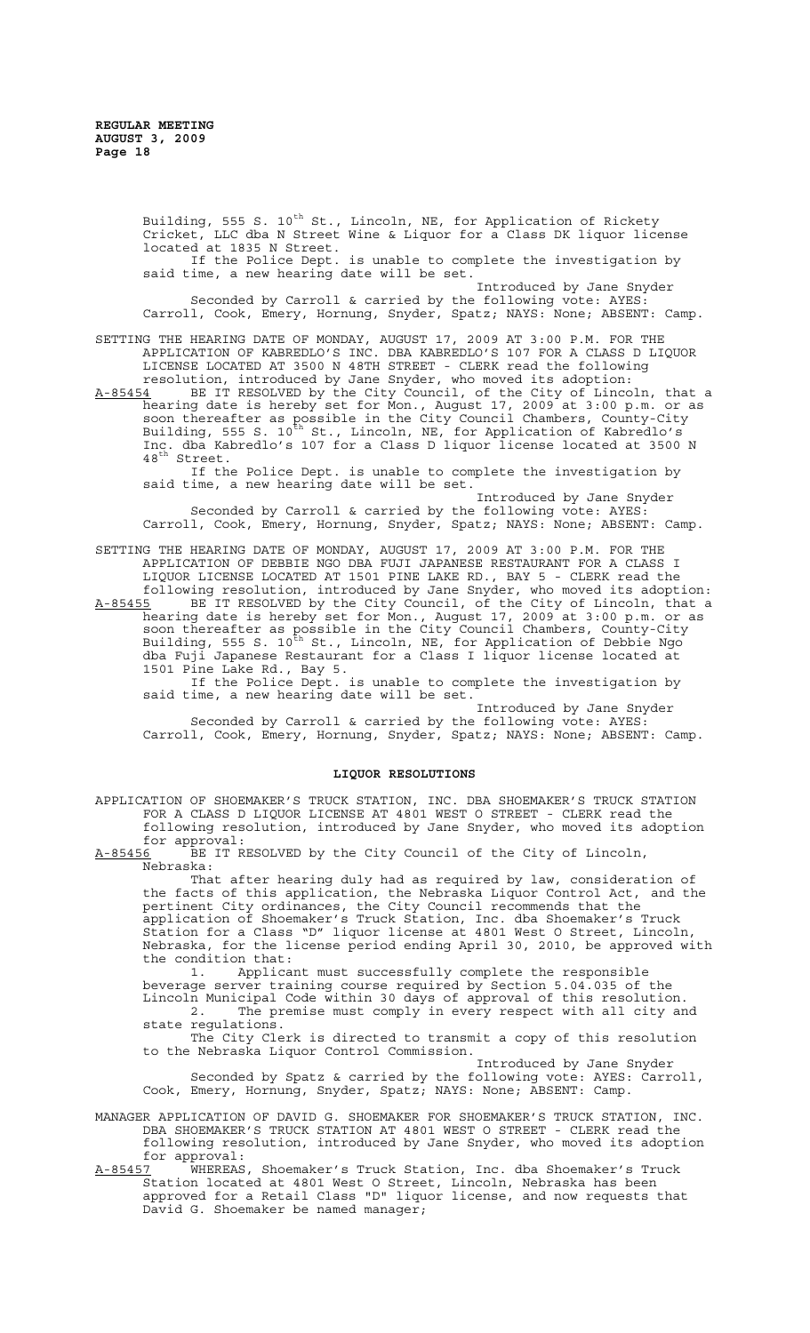Building, 555 S. 10<sup>th</sup> St., Lincoln, NE, for Application of Rickety Cricket, LLC dba N Street Wine & Liquor for a Class DK liquor license located at 1835 N Street. If the Police Dept. is unable to complete the investigation by said time, a new hearing date will be set. Introduced by Jane Snyder Seconded by Carroll & carried by the following vote: AYES: Carroll, Cook, Emery, Hornung, Snyder, Spatz; NAYS: None; ABSENT: Camp. SETTING THE HEARING DATE OF MONDAY, AUGUST 17, 2009 AT 3:00 P.M. FOR THE APPLICATION OF KABREDLO'S INC. DBA KABREDLO'S 107 FOR A CLASS D LIQUOR LICENSE LOCATED AT 3500 N 48TH STREET - CLERK read the following resolution, introduced by Jane Snyder, who moved its adoption:

A-85454 BE IT RESOLVED by the City Council, of the City of Lincoln, that a hearing date is hereby set for Mon., August 17, 2009 at 3:00 p.m. or as soon thereafter as possible in the City Council Chambers, County-City Building, 555 S. 10<sup>th</sup> St., Lincoln, NE, for Application of Kabredlo's Inc. dba Kabredlo's 107 for a Class D liquor license located at 3500 N 48<sup>th</sup> Street.

If the Police Dept. is unable to complete the investigation by said time, a new hearing date will be set.

Introduced by Jane Snyder Seconded by Carroll & carried by the following vote: AYES: Carroll, Cook, Emery, Hornung, Snyder, Spatz; NAYS: None; ABSENT: Camp.

SETTING THE HEARING DATE OF MONDAY, AUGUST 17, 2009 AT 3:00 P.M. FOR THE APPLICATION OF DEBBIE NGO DBA FUJI JAPANESE RESTAURANT FOR A CLASS I LIQUOR LICENSE LOCATED AT 1501 PINE LAKE RD., BAY 5 - CLERK read the following resolution, introduced by Jane Snyder, who moved its adoption:

A-85455 BE IT RESOLVED by the City Council, of the City of Lincoln, that a hearing date is hereby set for Mon., August 17, 2009 at 3:00 p.m. or as soon thereafter as possible in the City Council Chambers, County-City Building, 555 S. 10<sup>th</sup> St., Lincoln, NE, for Application of Debbie Ngo dba Fuji Japanese Restaurant for a Class I liquor license located at 1501 Pine Lake Rd., Bay 5.

If the Police Dept. is unable to complete the investigation by said time, a new hearing date will be set.

Introduced by Jane Snyder Seconded by Carroll & carried by the following vote: AYES: Carroll, Cook, Emery, Hornung, Snyder, Spatz; NAYS: None; ABSENT: Camp.

# **LIQUOR RESOLUTIONS**

APPLICATION OF SHOEMAKER'S TRUCK STATION, INC. DBA SHOEMAKER'S TRUCK STATION FOR A CLASS D LIQUOR LICENSE AT 4801 WEST O STREET - CLERK read the following resolution, introduced by Jane Snyder, who moved its adoption

for approval:<br>A-85456 BE IT R BE IT RESOLVED by the City Council of the City of Lincoln, Nebraska:

That after hearing duly had as required by law, consideration of the facts of this application, the Nebraska Liquor Control Act, and the pertinent City ordinances, the City Council recommends that the application of Shoemaker's Truck Station, Inc. dba Shoemaker's Truck Station for a Class "D" liquor license at 4801 West O Street, Lincoln, Nebraska, for the license period ending April 30, 2010, be approved with the condition that:<br>1. Applica:

Applicant must successfully complete the responsible beverage server training course required by Section 5.04.035 of the Lincoln Municipal Code within 30 days of approval of this resolution. 2. The premise must comply in every respect with all city and state regulations.

The City Clerk is directed to transmit a copy of this resolution to the Nebraska Liquor Control Commission.

Introduced by Jane Snyder Seconded by Spatz & carried by the following vote: AYES: Carroll, Cook, Emery, Hornung, Snyder, Spatz; NAYS: None; ABSENT: Camp.

MANAGER APPLICATION OF DAVID G. SHOEMAKER FOR SHOEMAKER'S TRUCK STATION, INC. DBA SHOEMAKER'S TRUCK STATION AT 4801 WEST O STREET - CLERK read the following resolution, introduced by Jane Snyder, who moved its adoption for approval:<br><u>A-85457</u> WHEREAS

A-85457 WHEREAS, Shoemaker's Truck Station, Inc. dba Shoemaker's Truck Station located at 4801 West O Street, Lincoln, Nebraska has been approved for a Retail Class "D" liquor license, and now requests that David G. Shoemaker be named manager;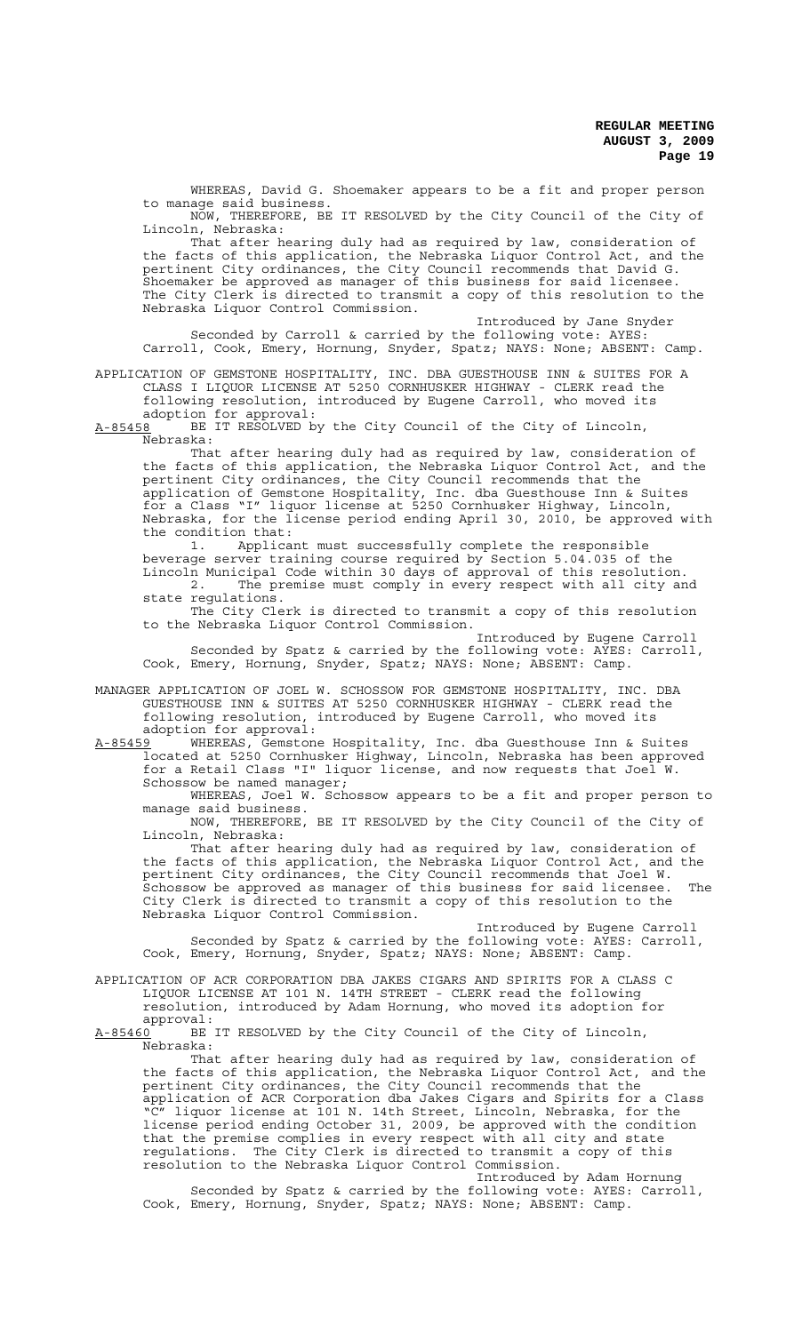WHEREAS, David G. Shoemaker appears to be a fit and proper person to manage said business.

NOW, THEREFORE, BE IT RESOLVED by the City Council of the City of Lincoln, Nebraska:

That after hearing duly had as required by law, consideration of the facts of this application, the Nebraska Liquor Control Act, and the pertinent City ordinances, the City Council recommends that David G. Shoemaker be approved as manager of this business for said licensee. The City Clerk is directed to transmit a copy of this resolution to the Nebraska Liquor Control Commission.

Introduced by Jane Snyder Seconded by Carroll & carried by the following vote: AYES: Carroll, Cook, Emery, Hornung, Snyder, Spatz; NAYS: None; ABSENT: Camp.

APPLICATION OF GEMSTONE HOSPITALITY, INC. DBA GUESTHOUSE INN & SUITES FOR A CLASS I LIQUOR LICENSE AT 5250 CORNHUSKER HIGHWAY - CLERK read the following resolution, introduced by Eugene Carroll, who moved its adoption for approval:

A-85458 BE IT RESOLVED by the City Council of the City of Lincoln, Nebraska:

That after hearing duly had as required by law, consideration of the facts of this application, the Nebraska Liquor Control Act, and the pertinent City ordinances, the City Council recommends that the application of Gemstone Hospitality, Inc. dba Guesthouse Inn & Suites for a Class "I" liquor license at 5250 Cornhusker Highway, Lincoln, Nebraska, for the license period ending April 30, 2010, be approved with the condition that:<br>1. Applica

1. Applicant must successfully complete the responsible beverage server training course required by Section 5.04.035 of the Lincoln Municipal Code within 30 days of approval of this resolution. 2. The premise must comply in every respect with all city and state regulations.

The City Clerk is directed to transmit a copy of this resolution to the Nebraska Liquor Control Commission.

Introduced by Eugene Carroll Seconded by Spatz & carried by the following vote: AYES: Carroll, Cook, Emery, Hornung, Snyder, Spatz; NAYS: None; ABSENT: Camp.

MANAGER APPLICATION OF JOEL W. SCHOSSOW FOR GEMSTONE HOSPITALITY, INC. DBA GUESTHOUSE INN & SUITES AT 5250 CORNHUSKER HIGHWAY - CLERK read the following resolution, introduced by Eugene Carroll, who moved its

adoption for approval:<br><u>A-85459</u> WHEREAS, Gemstone A-85459 WHEREAS, Gemstone Hospitality, Inc. dba Guesthouse Inn & Suites located at 5250 Cornhusker Highway, Lincoln, Nebraska has been approved for a Retail Class "I" liquor license, and now requests that Joel W. Schossow be named manager;

WHEREAS, Joel W. Schossow appears to be a fit and proper person to manage said business.

NOW, THEREFORE, BE IT RESOLVED by the City Council of the City of Lincoln, Nebraska:

That after hearing duly had as required by law, consideration of the facts of this application, the Nebraska Liquor Control Act, and the pertinent City ordinances, the City Council recommends that Joel W. Schossow be approved as manager of this business for said licensee. The City Clerk is directed to transmit a copy of this resolution to the Nebraska Liquor Control Commission.

Introduced by Eugene Carroll Seconded by Spatz & carried by the following vote: AYES: Carroll, Cook, Emery, Hornung, Snyder, Spatz; NAYS: None; ABSENT: Camp.

APPLICATION OF ACR CORPORATION DBA JAKES CIGARS AND SPIRITS FOR A CLASS C LIQUOR LICENSE AT 101 N. 14TH STREET - CLERK read the following resolution, introduced by Adam Hornung, who moved its adoption for approval:

A-85460 BE IT RESOLVED by the City Council of the City of Lincoln, Nebraska:

That after hearing duly had as required by law, consideration of the facts of this application, the Nebraska Liquor Control Act, and the pertinent City ordinances, the City Council recommends that the application of ACR Corporation dba Jakes Cigars and Spirits for a Class "C" liquor license at 101 N. 14th Street, Lincoln, Nebraska, for the license period ending October 31, 2009, be approved with the condition that the premise complies in every respect with all city and state regulations. The City Clerk is directed to transmit a copy of this resolution to the Nebraska Liquor Control Commission.

Introduced by Adam Hornung Seconded by Spatz & carried by the following vote: AYES: Carroll, Cook, Emery, Hornung, Snyder, Spatz; NAYS: None; ABSENT: Camp.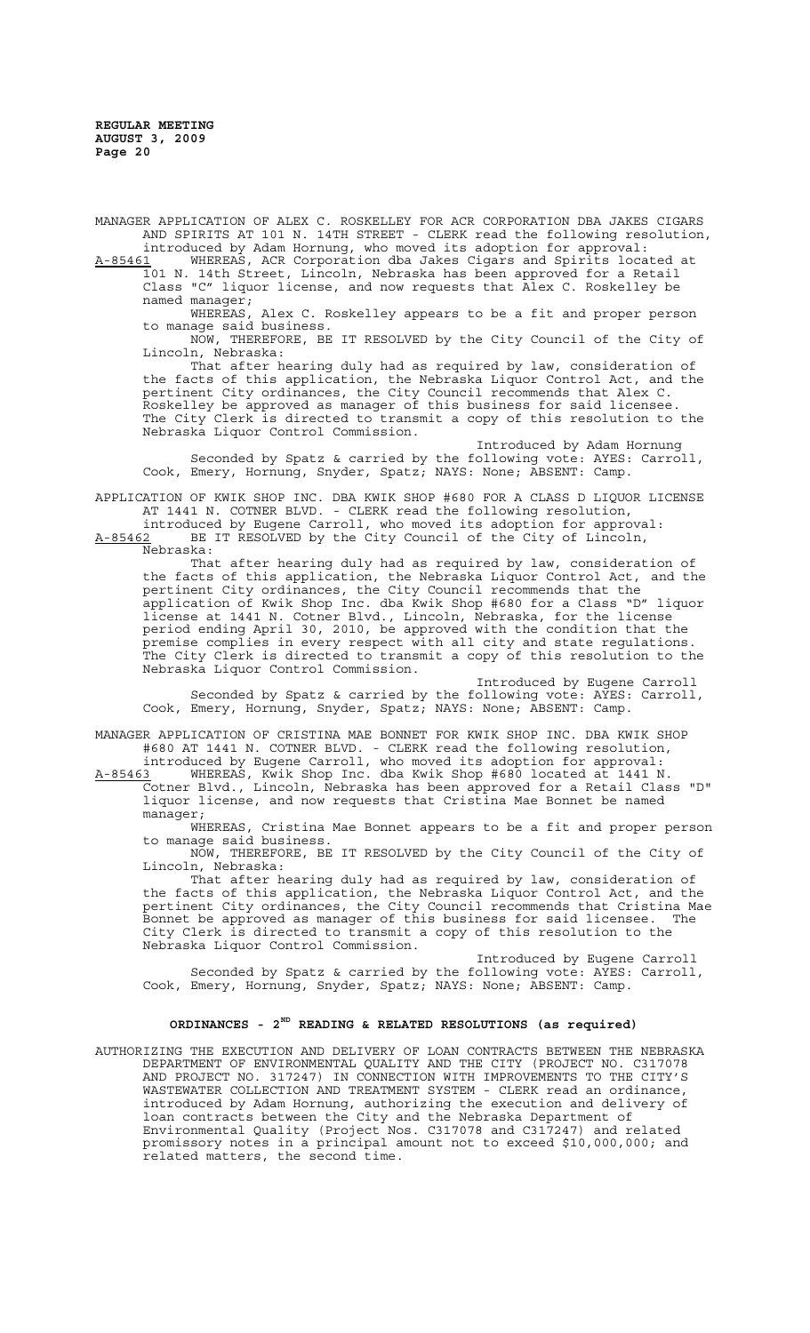MANAGER APPLICATION OF ALEX C. ROSKELLEY FOR ACR CORPORATION DBA JAKES CIGARS AND SPIRITS AT 101 N. 14TH STREET - CLERK read the following resolution, introduced by Adam Hornung, who moved its adoption for approval:

A-85461 WHEREAS, ACR Corporation dba Jakes Cigars and Spirits located at 101 N. 14th Street, Lincoln, Nebraska has been approved for a Retail Class "C" liquor license, and now requests that Alex C. Roskelley be named manager;

WHEREAS, Alex C. Roskelley appears to be a fit and proper person to manage said business.

NOW, THEREFORE, BE IT RESOLVED by the City Council of the City of Lincoln, Nebraska:

That after hearing duly had as required by law, consideration of the facts of this application, the Nebraska Liquor Control Act, and the pertinent City ordinances, the City Council recommends that Alex C. Roskelley be approved as manager of this business for said licensee. The City Clerk is directed to transmit a copy of this resolution to the Nebraska Liquor Control Commission.

Introduced by Adam Hornung Seconded by Spatz & carried by the following vote: AYES: Carroll, Cook, Emery, Hornung, Snyder, Spatz; NAYS: None; ABSENT: Camp.

APPLICATION OF KWIK SHOP INC. DBA KWIK SHOP #680 FOR A CLASS D LIQUOR LICENSE AT 1441 N. COTNER BLVD. - CLERK read the following resolution,

introduced by Eugene Carroll, who moved its adoption for approval: A-85462 BE IT RESOLVED by the City Council of the City of Lincoln, Nebraska:

That after hearing duly had as required by law, consideration of the facts of this application, the Nebraska Liquor Control Act, and the pertinent City ordinances, the City Council recommends that the application of Kwik Shop Inc. dba Kwik Shop #680 for a Class "D" liquor license at 1441 N. Cotner Blvd., Lincoln, Nebraska, for the license period ending April 30, 2010, be approved with the condition that the premise complies in every respect with all city and state regulations. The City Clerk is directed to transmit a copy of this resolution to the Nebraska Liquor Control Commission.

Introduced by Eugene Carroll Seconded by Spatz & carried by the following vote: AYES: Carroll, Cook, Emery, Hornung, Snyder, Spatz; NAYS: None; ABSENT: Camp.

MANAGER APPLICATION OF CRISTINA MAE BONNET FOR KWIK SHOP INC. DBA KWIK SHOP #680 AT 1441 N. COTNER BLVD. - CLERK read the following resolution, introduced by Eugene Carroll, who moved its adoption for approval:

A-85463 WHEREAS, Kwik Shop Inc. dba Kwik Shop #680 located at 1441 N. Cotner Blvd., Lincoln, Nebraska has been approved for a Retail Class "D" liquor license, and now requests that Cristina Mae Bonnet be named manager;

WHEREAS, Cristina Mae Bonnet appears to be a fit and proper person to manage said business.

NOW, THEREFORE, BE IT RESOLVED by the City Council of the City of Lincoln, Nebraska:

That after hearing duly had as required by law, consideration of the facts of this application, the Nebraska Liquor Control Act, and the pertinent City ordinances, the City Council recommends that Cristina Mae<br>Bonnet be approved as manager of this business for said licensee. The .<br>Bonnet be approved as manager of this business for said licensee. City Clerk is directed to transmit a copy of this resolution to the Nebraska Liquor Control Commission.

Introduced by Eugene Carroll Seconded by Spatz & carried by the following vote: AYES: Carroll, Cook, Emery, Hornung, Snyder, Spatz; NAYS: None; ABSENT: Camp.

# **ORDINANCES - 2ND READING & RELATED RESOLUTIONS (as required)**

AUTHORIZING THE EXECUTION AND DELIVERY OF LOAN CONTRACTS BETWEEN THE NEBRASKA DEPARTMENT OF ENVIRONMENTAL QUALITY AND THE CITY (PROJECT NO. C317078 AND PROJECT NO. 317247) IN CONNECTION WITH IMPROVEMENTS TO THE CITY'S WASTEWATER COLLECTION AND TREATMENT SYSTEM - CLERK read an ordinance, introduced by Adam Hornung, authorizing the execution and delivery of loan contracts between the City and the Nebraska Department of Environmental Quality (Project Nos. C317078 and C317247) and related promissory notes in a principal amount not to exceed \$10,000,000; and related matters, the second time.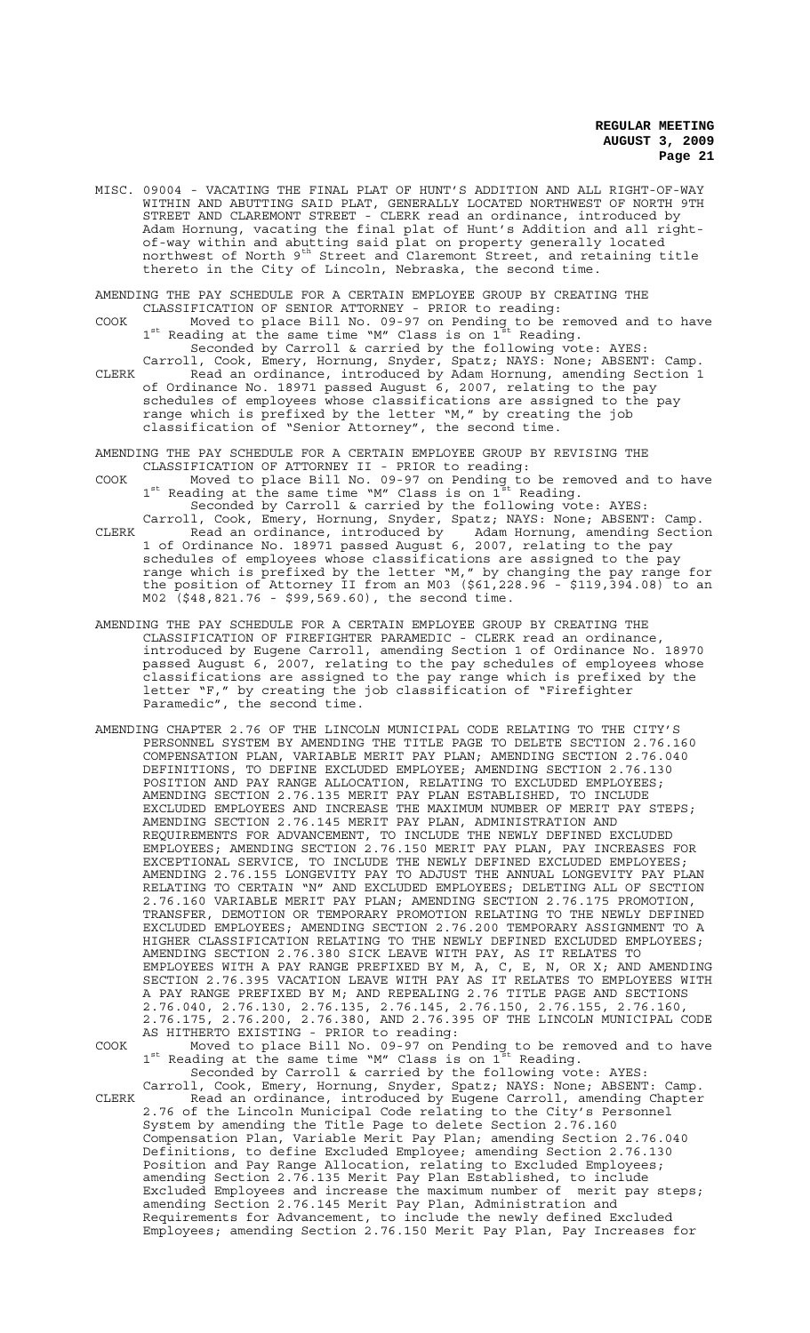- MISC. 09004 VACATING THE FINAL PLAT OF HUNT'S ADDITION AND ALL RIGHT-OF-WAY WITHIN AND ABUTTING SAID PLAT, GENERALLY LOCATED NORTHWEST OF NORTH 9TH STREET AND CLAREMONT STREET - CLERK read an ordinance, introduced by Adam Hornung, vacating the final plat of Hunt's Addition and all rightof-way within and abutting said plat on property generally located northwest of North 9th Street and Claremont Street, and retaining title thereto in the City of Lincoln, Nebraska, the second time.
- AMENDING THE PAY SCHEDULE FOR A CERTAIN EMPLOYEE GROUP BY CREATING THE CLASSIFICATION OF SENIOR ATTORNEY - PRIOR to reading:
- COOK Moved to place Bill No. 09-97 on Pending to be removed and to have  $1^{\text{st}}$  Reading at the same time "M" Class is on  $1^{\text{st}}$  Reading. Seconded by Carroll & carried by the following vote: AYES:
- Carroll, Cook, Emery, Hornung, Snyder, Spatz; NAYS: None; ABSENT: Camp. CLERK Read an ordinance, introduced by Adam Hornung, amending Section 1 of Ordinance No. 18971 passed August 6, 2007, relating to the pay schedules of employees whose classifications are assigned to the pay range which is prefixed by the letter "M," by creating the job classification of "Senior Attorney", the second time.
- AMENDING THE PAY SCHEDULE FOR A CERTAIN EMPLOYEE GROUP BY REVISING THE CLASSIFICATION OF ATTORNEY II - PRIOR to reading:
- COOK Moved to place Bill No. 09-97 on Pending to be removed and to have  $1^{\text{st}}$  Reading at the same time "M" Class is on  $1^{\text{st}}$  Reading. Seconded by Carroll & carried by the following vote: AYES:
- Carroll, Cook, Emery, Hornung, Snyder, Spatz; NAYS: None; ABSENT: Camp. CLERK Read an ordinance, introduced by Adam Hornung, amending Section 1 of Ordinance No. 18971 passed August 6, 2007, relating to the pay schedules of employees whose classifications are assigned to the pay range which is prefixed by the letter "M," by changing the pay range for the position of Attorney II from an M03 (\$61,228.96 - \$119,394.08) to an M02 (\$48,821.76 - \$99,569.60), the second time.
- AMENDING THE PAY SCHEDULE FOR A CERTAIN EMPLOYEE GROUP BY CREATING THE CLASSIFICATION OF FIREFIGHTER PARAMEDIC - CLERK read an ordinance, introduced by Eugene Carroll, amending Section 1 of Ordinance No. 18970 passed August 6, 2007, relating to the pay schedules of employees whose classifications are assigned to the pay range which is prefixed by the letter "F," by creating the job classification of "Firefighter Paramedic", the second time.
- AMENDING CHAPTER 2.76 OF THE LINCOLN MUNICIPAL CODE RELATING TO THE CITY'S PERSONNEL SYSTEM BY AMENDING THE TITLE PAGE TO DELETE SECTION 2.76.160 COMPENSATION PLAN, VARIABLE MERIT PAY PLAN; AMENDING SECTION 2.76.040 DEFINITIONS, TO DEFINE EXCLUDED EMPLOYEE; AMENDING SECTION 2.76.130 POSITION AND PAY RANGE ALLOCATION, RELATING TO EXCLUDED EMPLOYEES; AMENDING SECTION 2.76.135 MERIT PAY PLAN ESTABLISHED, TO INCLUDE EXCLUDED EMPLOYEES AND INCREASE THE MAXIMUM NUMBER OF MERIT PAY STEPS; AMENDING SECTION 2.76.145 MERIT PAY PLAN, ADMINISTRATION AND REQUIREMENTS FOR ADVANCEMENT, TO INCLUDE THE NEWLY DEFINED EXCLUDED EMPLOYEES; AMENDING SECTION 2.76.150 MERIT PAY PLAN, PAY INCREASES FOR EXCEPTIONAL SERVICE, TO INCLUDE THE NEWLY DEFINED EXCLUDED EMPLOYEES; AMENDING 2.76.155 LONGEVITY PAY TO ADJUST THE ANNUAL LONGEVITY PAY PLAN RELATING TO CERTAIN "N" AND EXCLUDED EMPLOYEES; DELETING ALL OF SECTION 2.76.160 VARIABLE MERIT PAY PLAN; AMENDING SECTION 2.76.175 PROMOTION, TRANSFER, DEMOTION OR TEMPORARY PROMOTION RELATING TO THE NEWLY DEFINED EXCLUDED EMPLOYEES; AMENDING SECTION 2.76.200 TEMPORARY ASSIGNMENT TO A HIGHER CLASSIFICATION RELATING TO THE NEWLY DEFINED EXCLUDED EMPLOYEES; AMENDING SECTION 2.76.380 SICK LEAVE WITH PAY, AS IT RELATES TO EMPLOYEES WITH A PAY RANGE PREFIXED BY M, A, C, E, N, OR X; AND AMENDING SECTION 2.76.395 VACATION LEAVE WITH PAY AS IT RELATES TO EMPLOYEES WITH A PAY RANGE PREFIXED BY M; AND REPEALING 2.76 TITLE PAGE AND SECTIONS 2.76.040, 2.76.130, 2.76.135, 2.76.145, 2.76.150, 2.76.155, 2.76.160, 2.76.175, 2.76.200, 2.76.380, AND 2.76.395 OF THE LINCOLN MUNICIPAL CODE AS HITHERTO EXISTING - PRIOR to reading:

COOK Moved to place Bill No. 09-97 on Pending to be removed and to have  $1^{\text{st}}$  Reading at the same time "M" Class is on  $1^{\text{st}}$  Reading. Seconded by Carroll & carried by the following vote: AYES:

Carroll, Cook, Emery, Hornung, Snyder, Spatz; NAYS: None; ABSENT: Camp. CLERK Read an ordinance, introduced by Eugene Carroll, amending Chapter 2.76 of the Lincoln Municipal Code relating to the City's Personnel System by amending the Title Page to delete Section 2.76.160 Compensation Plan, Variable Merit Pay Plan; amending Section 2.76.040 Definitions, to define Excluded Employee; amending Section 2.76.130 Position and Pay Range Allocation, relating to Excluded Employees; amending Section 2.76.135 Merit Pay Plan Established, to include Excluded Employees and increase the maximum number of merit pay steps; amending Section 2.76.145 Merit Pay Plan, Administration and Requirements for Advancement, to include the newly defined Excluded Employees; amending Section 2.76.150 Merit Pay Plan, Pay Increases for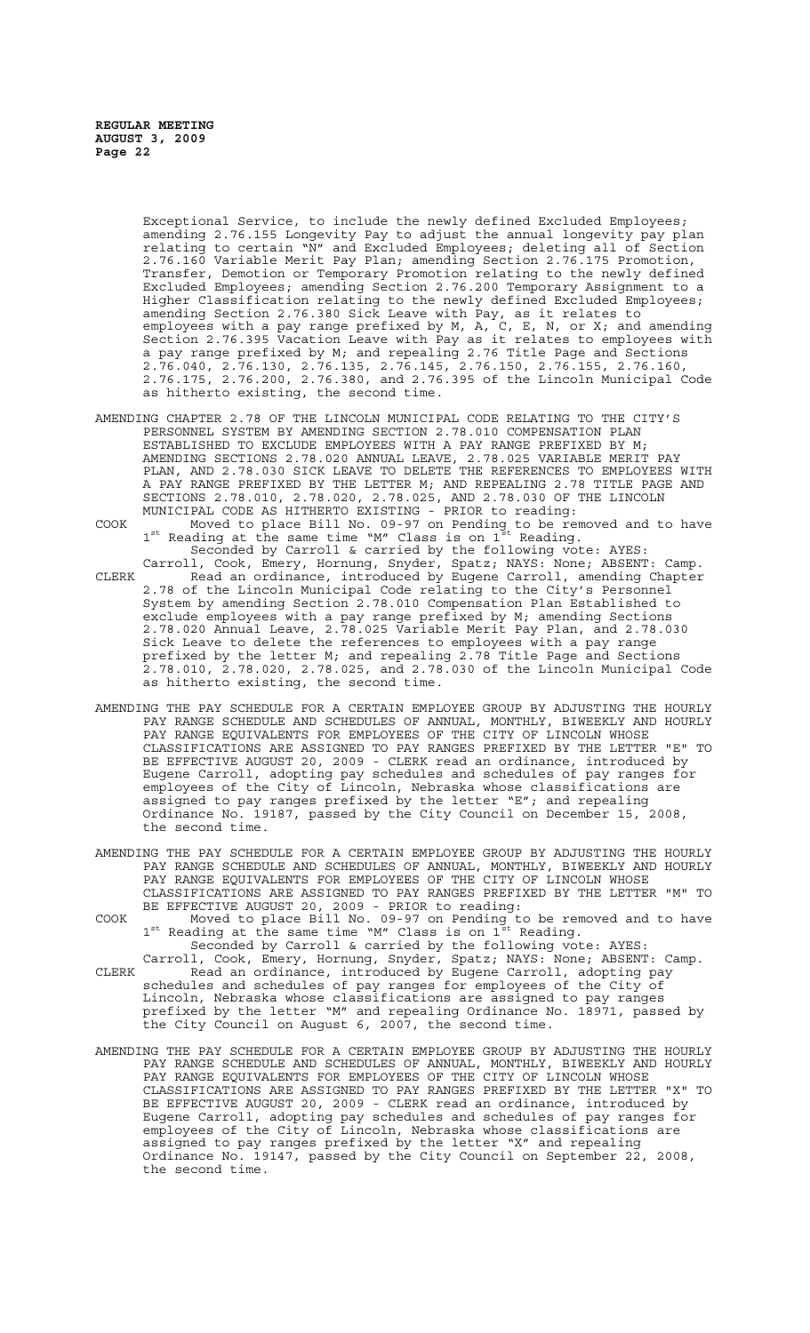Exceptional Service, to include the newly defined Excluded Employees; amending 2.76.155 Longevity Pay to adjust the annual longevity pay plan relating to certain "N" and Excluded Employees; deleting all of Section 2.76.160 Variable Merit Pay Plan; amending Section 2.76.175 Promotion, Transfer, Demotion or Temporary Promotion relating to the newly defined Excluded Employees; amending Section 2.76.200 Temporary Assignment to a Higher Classification relating to the newly defined Excluded Employees; amending Section 2.76.380 Sick Leave with Pay, as it relates to employees with a pay range prefixed by M, A, C, E, N, or X; and amending Section 2.76.395 Vacation Leave with Pay as it relates to employees with a pay range prefixed by M; and repealing 2.76 Title Page and Sections 2.76.040, 2.76.130, 2.76.135, 2.76.145, 2.76.150, 2.76.155, 2.76.160, 2.76.175, 2.76.200, 2.76.380, and 2.76.395 of the Lincoln Municipal Code as hitherto existing, the second time.

- AMENDING CHAPTER 2.78 OF THE LINCOLN MUNICIPAL CODE RELATING TO THE CITY'S PERSONNEL SYSTEM BY AMENDING SECTION 2.78.010 COMPENSATION PLAN ESTABLISHED TO EXCLUDE EMPLOYEES WITH A PAY RANGE PREFIXED BY M; AMENDING SECTIONS 2.78.020 ANNUAL LEAVE, 2.78.025 VARIABLE MERIT PAY PLAN, AND 2.78.030 SICK LEAVE TO DELETE THE REFERENCES TO EMPLOYEES WITH A PAY RANGE PREFIXED BY THE LETTER M; AND REPEALING 2.78 TITLE PAGE AND SECTIONS 2.78.010, 2.78.020, 2.78.025, AND 2.78.030 OF THE LINCOLN MUNICIPAL CODE AS HITHERTO EXISTING - PRIOR to reading:
- COOK Moved to place Bill No. 09-97 on Pending to be removed and to have  $1^{st}$  Reading at the same time "M" Class is on  $1^{st}$  Reading. Seconded by Carroll & carried by the following vote: AYES:
- Carroll, Cook, Emery, Hornung, Snyder, Spatz; NAYS: None; ABSENT: Camp. CLERK Read an ordinance, introduced by Eugene Carroll, amending Chapter 2.78 of the Lincoln Municipal Code relating to the City's Personnel System by amending Section 2.78.010 Compensation Plan Established to exclude employees with a pay range prefixed by M; amending Sections 2.78.020 Annual Leave, 2.78.025 Variable Merit Pay Plan, and 2.78.030 Sick Leave to delete the references to employees with a pay range prefixed by the letter M; and repealing 2.78 Title Page and Sections 2.78.010, 2.78.020, 2.78.025, and 2.78.030 of the Lincoln Municipal Code as hitherto existing, the second time.
- AMENDING THE PAY SCHEDULE FOR A CERTAIN EMPLOYEE GROUP BY ADJUSTING THE HOURLY PAY RANGE SCHEDULE AND SCHEDULES OF ANNUAL, MONTHLY, BIWEEKLY AND HOURLY PAY RANGE EQUIVALENTS FOR EMPLOYEES OF THE CITY OF LINCOLN WHOSE CLASSIFICATIONS ARE ASSIGNED TO PAY RANGES PREFIXED BY THE LETTER "E" TO BE EFFECTIVE AUGUST 20, 2009 - CLERK read an ordinance, introduced by Eugene Carroll, adopting pay schedules and schedules of pay ranges for employees of the City of Lincoln, Nebraska whose classifications are assigned to pay ranges prefixed by the letter "E"; and repealing Ordinance No. 19187, passed by the City Council on December 15, 2008, the second time.
- AMENDING THE PAY SCHEDULE FOR A CERTAIN EMPLOYEE GROUP BY ADJUSTING THE HOURLY PAY RANGE SCHEDULE AND SCHEDULES OF ANNUAL, MONTHLY, BIWEEKLY AND HOURLY PAY RANGE EQUIVALENTS FOR EMPLOYEES OF THE CITY OF LINCOLN WHOSE CLASSIFICATIONS ARE ASSIGNED TO PAY RANGES PREFIXED BY THE LETTER "M" TO BE EFFECTIVE AUGUST 20, 2009 - PRIOR to reading:
- COOK Moved to place Bill No. 09-97 on Pending to be removed and to have  $1^{\text{st}}$  Reading at the same time "M" Class is on  $1^{\text{st}}$  Reading. Seconded by Carroll & carried by the following vote: AYES:
- Carroll, Cook, Emery, Hornung, Snyder, Spatz; NAYS: None; ABSENT: Camp. CLERK Read an ordinance, introduced by Eugene Carroll, adopting pay schedules and schedules of pay ranges for employees of the City of Lincoln, Nebraska whose classifications are assigned to pay ranges prefixed by the letter "M" and repealing Ordinance No. 18971, passed by the City Council on August 6, 2007, the second time.
- AMENDING THE PAY SCHEDULE FOR A CERTAIN EMPLOYEE GROUP BY ADJUSTING THE HOURLY PAY RANGE SCHEDULE AND SCHEDULES OF ANNUAL, MONTHLY, BIWEEKLY AND HOURLY PAY RANGE EQUIVALENTS FOR EMPLOYEES OF THE CITY OF LINCOLN WHOSE CLASSIFICATIONS ARE ASSIGNED TO PAY RANGES PREFIXED BY THE LETTER "X" TO BE EFFECTIVE AUGUST 20, 2009 - CLERK read an ordinance, introduced by Eugene Carroll, adopting pay schedules and schedules of pay ranges for employees of the City of Lincoln, Nebraska whose classifications are assigned to pay ranges prefixed by the letter "X" and repealing Ordinance No. 19147, passed by the City Council on September 22, 2008, the second time.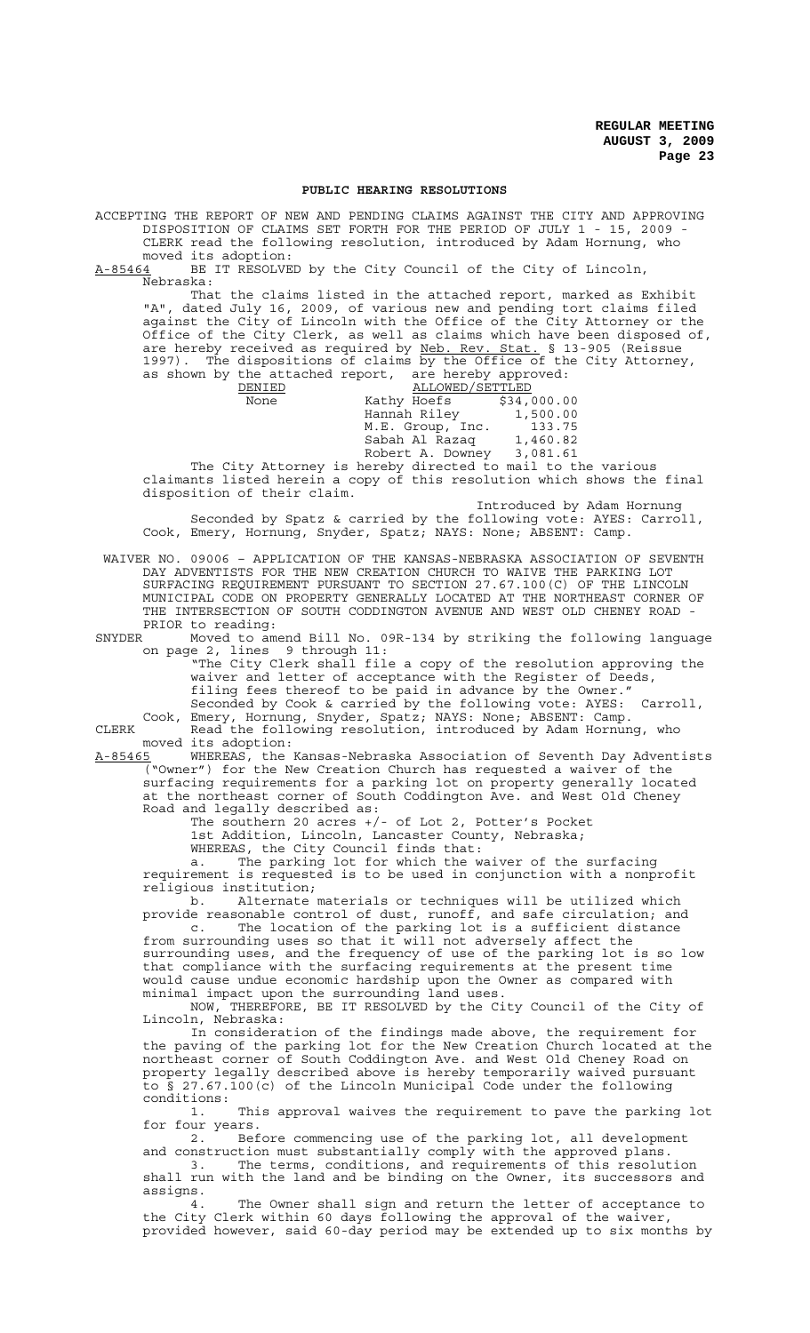#### **PUBLIC HEARING RESOLUTIONS**

ACCEPTING THE REPORT OF NEW AND PENDING CLAIMS AGAINST THE CITY AND APPROVING DISPOSITION OF CLAIMS SET FORTH FOR THE PERIOD OF JULY 1 - 15, 2009 - CLERK read the following resolution, introduced by Adam Hornung, who moved its adoption:

A-85464 BE IT RESOLVED by the City Council of the City of Lincoln, Nebraska:

That the claims listed in the attached report, marked as Exhibit "A", dated July 16, 2009, of various new and pending tort claims filed against the City of Lincoln with the Office of the City Attorney or the Office of the City Clerk, as well as claims which have been disposed of, are hereby received as required by Neb. Rev. Stat. § 13-905 (Reissue 1997). The dispositions of claims by the Office of the City Attorney, as shown by the attached report, are hereby approved:

| DENIED | ALLOWED/SETTLED  |             |
|--------|------------------|-------------|
| None   | Kathy Hoefs      | \$34,000.00 |
|        | Hannah Riley     | 1,500.00    |
|        | M.E. Group, Inc. | 133.75      |
|        | Sabah Al Razag   | 1,460.82    |
|        | Robert A. Downey | 3,081.61    |
|        |                  |             |

The City Attorney is hereby directed to mail to the various claimants listed herein a copy of this resolution which shows the final disposition of their claim.

Introduced by Adam Hornung

Seconded by Spatz & carried by the following vote: AYES: Carroll, Cook, Emery, Hornung, Snyder, Spatz; NAYS: None; ABSENT: Camp.

 WAIVER NO. 09006 – APPLICATION OF THE KANSAS-NEBRASKA ASSOCIATION OF SEVENTH DAY ADVENTISTS FOR THE NEW CREATION CHURCH TO WAIVE THE PARKING LOT SURFACING REQUIREMENT PURSUANT TO SECTION 27.67.100(C) OF THE LINCOLN MUNICIPAL CODE ON PROPERTY GENERALLY LOCATED AT THE NORTHEAST CORNER OF THE INTERSECTION OF SOUTH CODDINGTON AVENUE AND WEST OLD CHENEY ROAD - PRIOR to reading:<br>SNYDER Moved to ame

Moved to amend Bill No. 09R-134 by striking the following language on page 2, lines 9 through 11:

"The City Clerk shall file a copy of the resolution approving the waiver and letter of acceptance with the Register of Deeds, filing fees thereof to be paid in advance by the Owner."

Seconded by Cook & carried by the following vote: AYES: Carroll, Cook, Emery, Hornung, Snyder, Spatz; NAYS: None; ABSENT: Camp.

CLERK Read the following resolution, introduced by Adam Hornung, who moved its adoption:

A-85465 WHEREAS, the Kansas-Nebraska Association of Seventh Day Adventists ("Owner") for the New Creation Church has requested a waiver of the surfacing requirements for a parking lot on property generally located at the northeast corner of South Coddington Ave. and West Old Cheney Road and legally described as:

The southern 20 acres +/- of Lot 2, Potter's Pocket 1st Addition, Lincoln, Lancaster County, Nebraska;

WHEREAS, the City Council finds that:

a. The parking lot for which the waiver of the surfacing requirement is requested is to be used in conjunction with a nonprofit religious institution;<br>b. Alternate

Alternate materials or techniques will be utilized which provide reasonable control of dust, runoff, and safe circulation; and c. The location of the parking lot is a sufficient distance

from surrounding uses so that it will not adversely affect the surrounding uses, and the frequency of use of the parking lot is so low that compliance with the surfacing requirements at the present time would cause undue economic hardship upon the Owner as compared with minimal impact upon the surrounding land uses.

NOW, THEREFORE, BE IT RESOLVED by the City Council of the City of Lincoln, Nebraska:

In consideration of the findings made above, the requirement for the paving of the parking lot for the New Creation Church located at the northeast corner of South Coddington Ave. and West Old Cheney Road on property legally described above is hereby temporarily waived pursuant to § 27.67.100(c) of the Lincoln Municipal Code under the following conditions:

1. This approval waives the requirement to pave the parking lot for four years.

2. Before commencing use of the parking lot, all development and construction must substantially comply with the approved plans.

3. The terms, conditions, and requirements of this resolution shall run with the land and be binding on the Owner, its successors and assigns.

The Owner shall sign and return the letter of acceptance to the City Clerk within 60 days following the approval of the waiver, provided however, said 60-day period may be extended up to six months by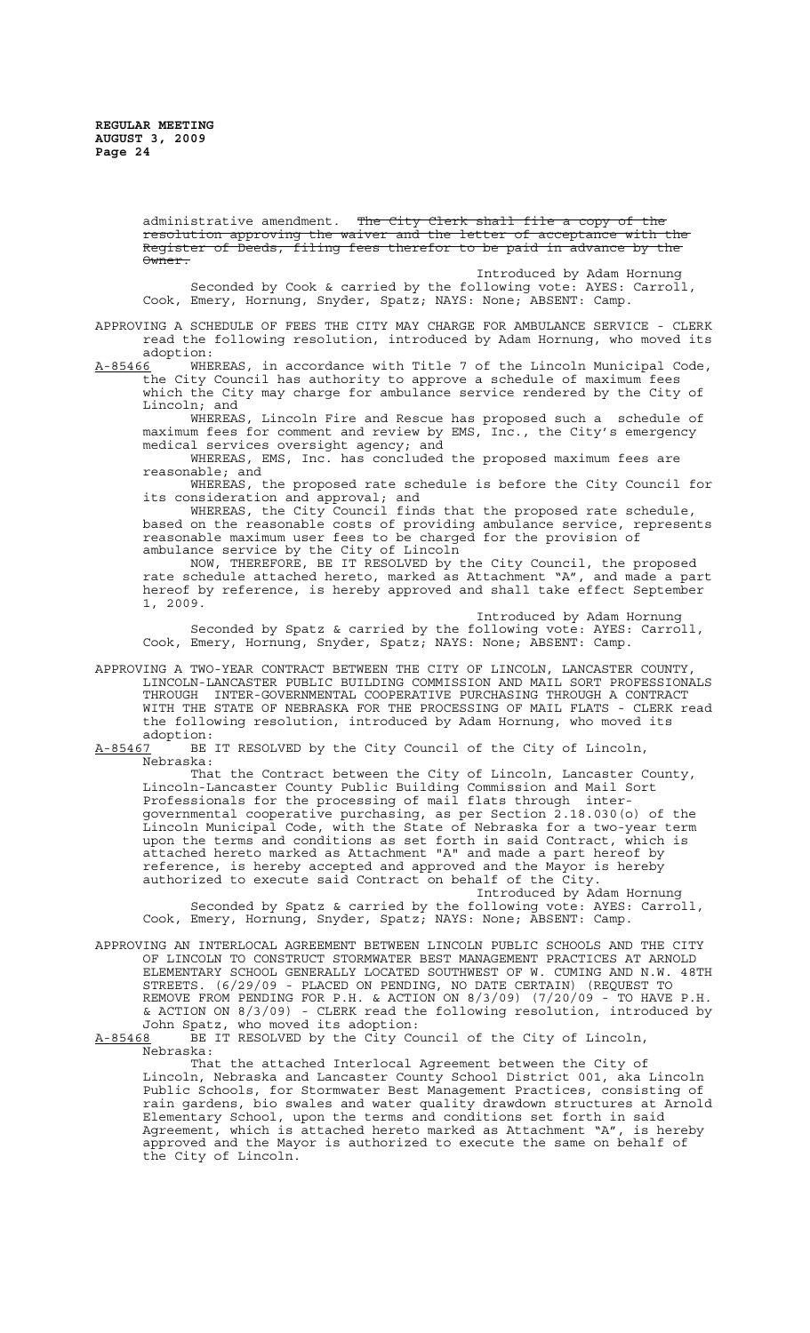administrative amendment. Th<del>e City Clerk shall file a copy of the</del> resolution approving the waiver and the letter of acceptance with the Register of Deeds, filing fees therefor to be paid in advance by the Owner.

Introduced by Adam Hornung Seconded by Cook & carried by the following vote: AYES: Carroll, Cook, Emery, Hornung, Snyder, Spatz; NAYS: None; ABSENT: Camp.

APPROVING A SCHEDULE OF FEES THE CITY MAY CHARGE FOR AMBULANCE SERVICE - CLERK read the following resolution, introduced by Adam Hornung, who moved its adoption:

<u>A-85466</u> WHEREAS, in accordance with Title 7 of the Lincoln Municipal Code, the City Council has authority to approve a schedule of maximum fees which the City may charge for ambulance service rendered by the City of Lincoln; and

WHEREAS, Lincoln Fire and Rescue has proposed such a schedule of maximum fees for comment and review by EMS, Inc., the City's emergency medical services oversight agency; and

WHEREAS, EMS, Inc. has concluded the proposed maximum fees are reasonable; and

WHEREAS, the proposed rate schedule is before the City Council for its consideration and approval; and

WHEREAS, the City Council finds that the proposed rate schedule, based on the reasonable costs of providing ambulance service, represents reasonable maximum user fees to be charged for the provision of ambulance service by the City of Lincoln

NOW, THEREFORE, BE IT RESOLVED by the City Council, the proposed rate schedule attached hereto, marked as Attachment "A", and made a part hereof by reference, is hereby approved and shall take effect September 1, 2009.

Introduced by Adam Hornung Seconded by Spatz & carried by the following vote: AYES: Carroll, Cook, Emery, Hornung, Snyder, Spatz; NAYS: None; ABSENT: Camp.

APPROVING A TWO-YEAR CONTRACT BETWEEN THE CITY OF LINCOLN, LANCASTER COUNTY, LINCOLN-LANCASTER PUBLIC BUILDING COMMISSION AND MAIL SORT PROFESSIONALS THROUGH INTER-GOVERNMENTAL COOPERATIVE PURCHASING THROUGH A CONTRACT WITH THE STATE OF NEBRASKA FOR THE PROCESSING OF MAIL FLATS - CLERK read the following resolution, introduced by Adam Hornung, who moved its

adoption:<br><u>A-85467</u> BE BE IT RESOLVED by the City Council of the City of Lincoln, Nebraska:

That the Contract between the City of Lincoln, Lancaster County, Lincoln-Lancaster County Public Building Commission and Mail Sort Professionals for the processing of mail flats through intergovernmental cooperative purchasing, as per Section 2.18.030(o) of the Lincoln Municipal Code, with the State of Nebraska for a two-year term upon the terms and conditions as set forth in said Contract, which is attached hereto marked as Attachment "A" and made a part hereof by reference, is hereby accepted and approved and the Mayor is hereby authorized to execute said Contract on behalf of the City.

Introduced by Adam Hornung Seconded by Spatz & carried by the following vote: AYES: Carroll, Cook, Emery, Hornung, Snyder, Spatz; NAYS: None; ABSENT: Camp.

APPROVING AN INTERLOCAL AGREEMENT BETWEEN LINCOLN PUBLIC SCHOOLS AND THE CITY OF LINCOLN TO CONSTRUCT STORMWATER BEST MANAGEMENT PRACTICES AT ARNOLD ELEMENTARY SCHOOL GENERALLY LOCATED SOUTHWEST OF W. CUMING AND N.W. 48TH STREETS. (6/29/09 - PLACED ON PENDING, NO DATE CERTAIN) (REQUEST TO REMOVE FROM PENDING FOR P.H. & ACTION ON 8/3/09) (7/20/09 - TO HAVE P.H. & ACTION ON 8/3/09) - CLERK read the following resolution, introduced by John Spatz, who moved its adoption:

A-85468 BE IT RESOLVED by the City Council of the City of Lincoln, Nebraska:

That the attached Interlocal Agreement between the City of Lincoln, Nebraska and Lancaster County School District 001, aka Lincoln Public Schools, for Stormwater Best Management Practices, consisting of rain gardens, bio swales and water quality drawdown structures at Arnold Elementary School, upon the terms and conditions set forth in said Agreement, which is attached hereto marked as Attachment "A", is hereby approved and the Mayor is authorized to execute the same on behalf of the City of Lincoln.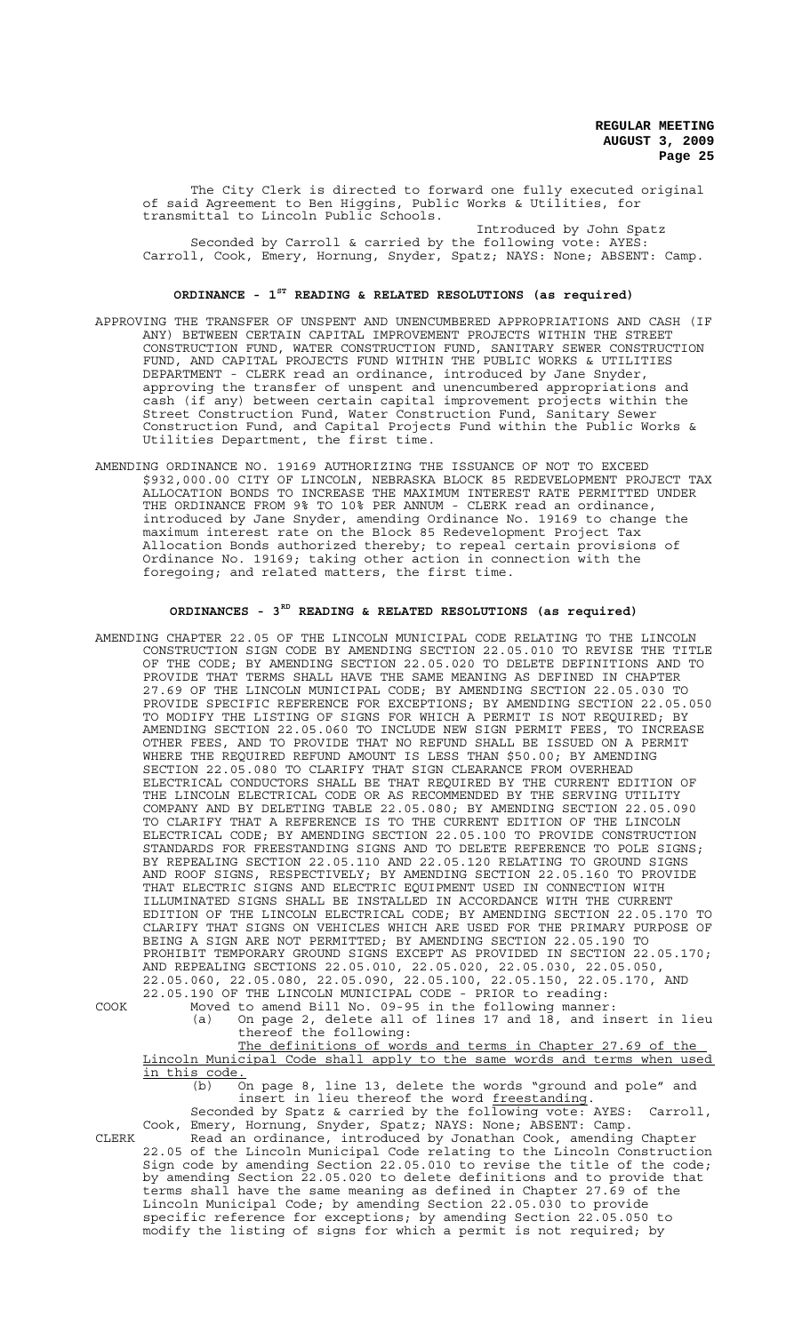The City Clerk is directed to forward one fully executed original of said Agreement to Ben Higgins, Public Works & Utilities, for transmittal to Lincoln Public Schools.

Introduced by John Spatz Seconded by Carroll & carried by the following vote: AYES: Carroll, Cook, Emery, Hornung, Snyder, Spatz; NAYS: None; ABSENT: Camp.

# **ORDINANCE - 1ST READING & RELATED RESOLUTIONS (as required)**

- APPROVING THE TRANSFER OF UNSPENT AND UNENCUMBERED APPROPRIATIONS AND CASH (IF ANY) BETWEEN CERTAIN CAPITAL IMPROVEMENT PROJECTS WITHIN THE STREET CONSTRUCTION FUND, WATER CONSTRUCTION FUND, SANITARY SEWER CONSTRUCTION FUND, AND CAPITAL PROJECTS FUND WITHIN THE PUBLIC WORKS & UTILITIES DEPARTMENT - CLERK read an ordinance, introduced by Jane Snyder, approving the transfer of unspent and unencumbered appropriations and cash (if any) between certain capital improvement projects within the Street Construction Fund, Water Construction Fund, Sanitary Sewer Construction Fund, and Capital Projects Fund within the Public Works & Utilities Department, the first time.
- AMENDING ORDINANCE NO. 19169 AUTHORIZING THE ISSUANCE OF NOT TO EXCEED \$932,000.00 CITY OF LINCOLN, NEBRASKA BLOCK 85 REDEVELOPMENT PROJECT TAX ALLOCATION BONDS TO INCREASE THE MAXIMUM INTEREST RATE PERMITTED UNDER THE ORDINANCE FROM 9% TO 10% PER ANNUM - CLERK read an ordinance, introduced by Jane Snyder, amending Ordinance No. 19169 to change the maximum interest rate on the Block 85 Redevelopment Project Tax Allocation Bonds authorized thereby; to repeal certain provisions of Ordinance No. 19169; taking other action in connection with the foregoing; and related matters, the first time.

# **ORDINANCES - 3RD READING & RELATED RESOLUTIONS (as required)**

AMENDING CHAPTER 22.05 OF THE LINCOLN MUNICIPAL CODE RELATING TO THE LINCOLN CONSTRUCTION SIGN CODE BY AMENDING SECTION 22.05.010 TO REVISE THE TITLE OF THE CODE; BY AMENDING SECTION 22.05.020 TO DELETE DEFINITIONS AND TO PROVIDE THAT TERMS SHALL HAVE THE SAME MEANING AS DEFINED IN CHAPTER 27.69 OF THE LINCOLN MUNICIPAL CODE; BY AMENDING SECTION 22.05.030 TO PROVIDE SPECIFIC REFERENCE FOR EXCEPTIONS; BY AMENDING SECTION 22.05.050 TO MODIFY THE LISTING OF SIGNS FOR WHICH A PERMIT IS NOT REQUIRED; BY AMENDING SECTION 22.05.060 TO INCLUDE NEW SIGN PERMIT FEES, TO INCREASE OTHER FEES, AND TO PROVIDE THAT NO REFUND SHALL BE ISSUED ON A PERMIT WHERE THE REQUIRED REFUND AMOUNT IS LESS THAN \$50.00; BY AMENDING SECTION 22.05.080 TO CLARIFY THAT SIGN CLEARANCE FROM OVERHEAD ELECTRICAL CONDUCTORS SHALL BE THAT REQUIRED BY THE CURRENT EDITION OF THE LINCOLN ELECTRICAL CODE OR AS RECOMMENDED BY THE SERVING UTILITY COMPANY AND BY DELETING TABLE 22.05.080; BY AMENDING SECTION 22.05.090 TO CLARIFY THAT A REFERENCE IS TO THE CURRENT EDITION OF THE LINCOLN ELECTRICAL CODE; BY AMENDING SECTION 22.05.100 TO PROVIDE CONSTRUCTION STANDARDS FOR FREESTANDING SIGNS AND TO DELETE REFERENCE TO POLE SIGNS; BY REPEALING SECTION 22.05.110 AND 22.05.120 RELATING TO GROUND SIGNS AND ROOF SIGNS, RESPECTIVELY; BY AMENDING SECTION 22.05.160 TO PROVIDE THAT ELECTRIC SIGNS AND ELECTRIC EQUIPMENT USED IN CONNECTION WITH ILLUMINATED SIGNS SHALL BE INSTALLED IN ACCORDANCE WITH THE CURRENT EDITION OF THE LINCOLN ELECTRICAL CODE; BY AMENDING SECTION 22.05.170 TO CLARIFY THAT SIGNS ON VEHICLES WHICH ARE USED FOR THE PRIMARY PURPOSE OF BEING A SIGN ARE NOT PERMITTED; BY AMENDING SECTION 22.05.190 TO PROHIBIT TEMPORARY GROUND SIGNS EXCEPT AS PROVIDED IN SECTION 22.05.170; AND REPEALING SECTIONS 22.05.010, 22.05.020, 22.05.030, 22.05.050, 22.05.060, 22.05.080, 22.05.090, 22.05.100, 22.05.150, 22.05.170, AND 22.05.190 OF THE LINCOLN MUNICIPAL CODE - PRIOR to reading:

COOK Moved to amend Bill No. 09-95 in the following manner:

(a) On page 2, delete all of lines 17 and 18, and insert in lieu thereof the following:

The definitions of words and terms in Chapter 27.69 of the Lincoln Municipal Code shall apply to the same words and terms when used in this code.

(b) On page 8, line 13, delete the words "ground and pole" and insert in lieu thereof the word freestanding. Seconded by Spatz & carried by the following vote: AYES: Carroll,

Cook, Emery, Hornung, Snyder, Spatz; NAYS: None; ABSENT: Camp. CLERK Read an ordinance, introduced by Jonathan Cook, amending Chapter

22.05 of the Lincoln Municipal Code relating to the Lincoln Construction Sign code by amending Section 22.05.010 to revise the title of the code; by amending Section 22.05.020 to delete definitions and to provide that terms shall have the same meaning as defined in Chapter 27.69 of the Lincoln Municipal Code; by amending Section 22.05.030 to provide specific reference for exceptions; by amending Section 22.05.050 to modify the listing of signs for which a permit is not required; by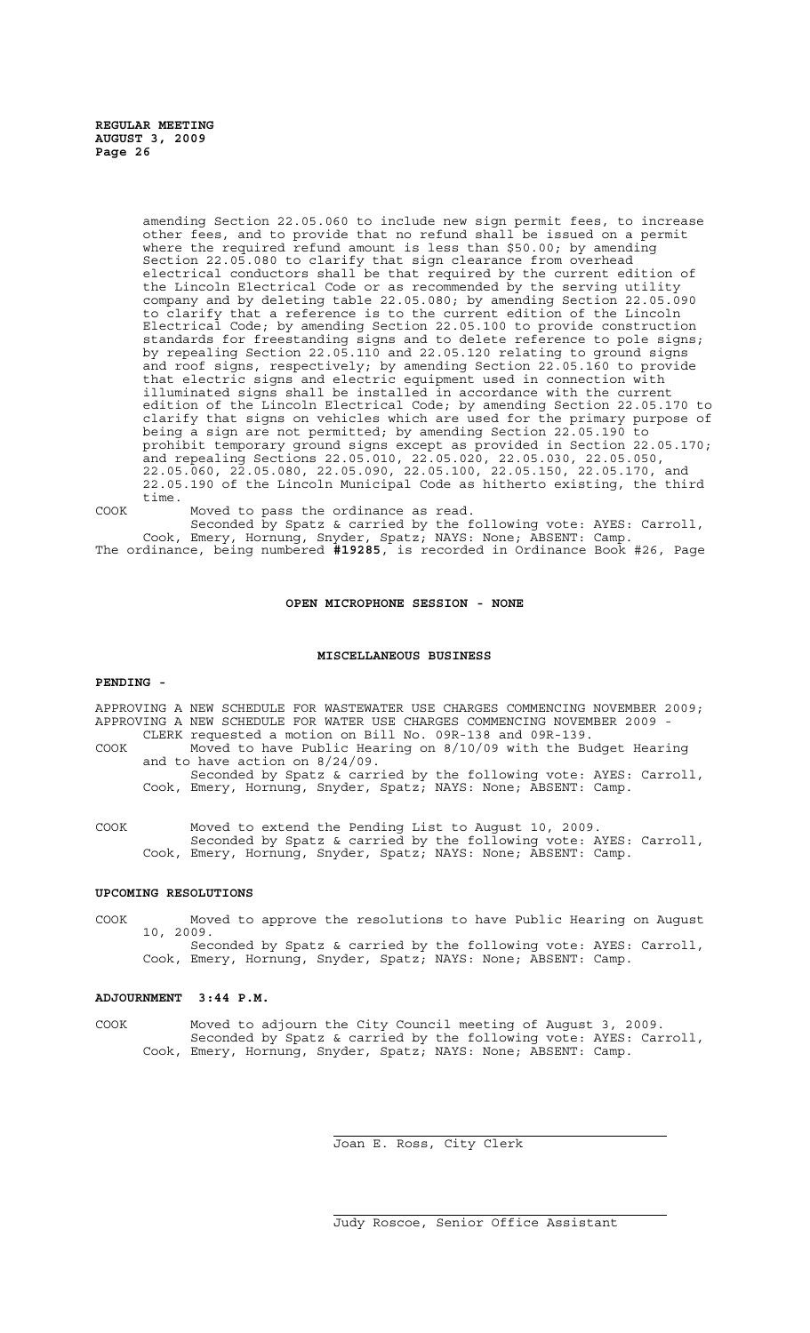amending Section 22.05.060 to include new sign permit fees, to increase other fees, and to provide that no refund shall be issued on a permit where the required refund amount is less than \$50.00; by amending Section 22.05.080 to clarify that sign clearance from overhead electrical conductors shall be that required by the current edition of the Lincoln Electrical Code or as recommended by the serving utility company and by deleting table 22.05.080; by amending Section 22.05.090 to clarify that a reference is to the current edition of the Lincoln Electrical Code; by amending Section 22.05.100 to provide construction standards for freestanding signs and to delete reference to pole signs; by repealing Section 22.05.110 and 22.05.120 relating to ground signs and roof signs, respectively; by amending Section 22.05.160 to provide that electric signs and electric equipment used in connection with illuminated signs shall be installed in accordance with the current edition of the Lincoln Electrical Code; by amending Section 22.05.170 to clarify that signs on vehicles which are used for the primary purpose of being a sign are not permitted; by amending Section 22.05.190 to prohibit temporary ground signs except as provided in Section 22.05.170; and repealing Sections 22.05.010, 22.05.020, 22.05.030, 22.05.050, 22.05.060, 22.05.080, 22.05.090, 22.05.100, 22.05.150, 22.05.170, and 22.05.190 of the Lincoln Municipal Code as hitherto existing, the third time.

COOK Moved to pass the ordinance as read.

Seconded by Spatz & carried by the following vote: AYES: Carroll, Cook, Emery, Hornung, Snyder, Spatz; NAYS: None; ABSENT: Camp. The ordinance, being numbered **#19285**, is recorded in Ordinance Book #26, Page

### **OPEN MICROPHONE SESSION - NONE**

#### **MISCELLANEOUS BUSINESS**

#### **PENDING -**

APPROVING A NEW SCHEDULE FOR WASTEWATER USE CHARGES COMMENCING NOVEMBER 2009; APPROVING A NEW SCHEDULE FOR WATER USE CHARGES COMMENCING NOVEMBER 2009 - CLERK requested a motion on Bill No. 09R-138 and 09R-139.

COOK Moved to have Public Hearing on 8/10/09 with the Budget Hearing and to have action on 8/24/09.

Seconded by Spatz & carried by the following vote: AYES: Carroll, Cook, Emery, Hornung, Snyder, Spatz; NAYS: None; ABSENT: Camp.

COOK Moved to extend the Pending List to August 10, 2009. Seconded by Spatz & carried by the following vote: AYES: Carroll, Cook, Emery, Hornung, Snyder, Spatz; NAYS: None; ABSENT: Camp.

# **UPCOMING RESOLUTIONS**

COOK Moved to approve the resolutions to have Public Hearing on August 10, 2009. Seconded by Spatz & carried by the following vote: AYES: Carroll,

Cook, Emery, Hornung, Snyder, Spatz; NAYS: None; ABSENT: Camp.

### **ADJOURNMENT 3:44 P.M.**

COOK Moved to adjourn the City Council meeting of August 3, 2009. Seconded by Spatz & carried by the following vote: AYES: Carroll, Cook, Emery, Hornung, Snyder, Spatz; NAYS: None; ABSENT: Camp.

 $\overline{a}$ 

i.

Joan E. Ross, City Clerk